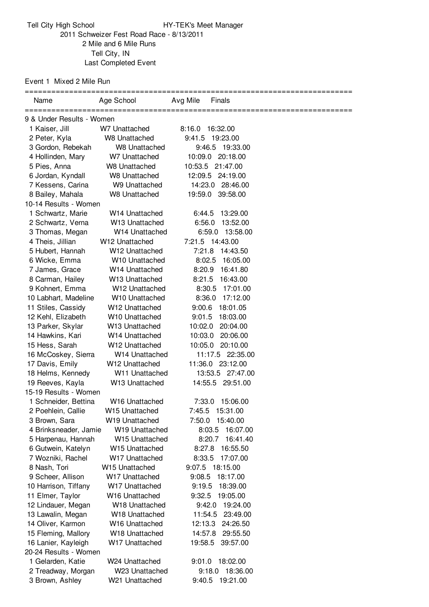Tell City High School **HY-TEK's Meet Manager**  Schweizer Fest Road Race - 8/13/2011 Mile and 6 Mile Runs Tell City, IN Last Completed Event

Event 1 Mixed 2 Mile Run

| Name                                 | Age School                                               | Avg Mile<br><b>Finals</b>             |
|--------------------------------------|----------------------------------------------------------|---------------------------------------|
|                                      |                                                          |                                       |
| 9 & Under Results - Women            |                                                          |                                       |
| 1 Kaiser, Jill                       | W7 Unattached                                            | 8:16.0<br>16:32.00                    |
| 2 Peter, Kyla                        | <b>W8 Unattached</b>                                     | 9:41.5 19:23.00                       |
| 3 Gordon, Rebekah                    | W8 Unattached                                            | 9:46.5 19:33.00                       |
| 4 Hollinden, Mary                    | W7 Unattached                                            | 10:09.0 20:18.00                      |
| 5 Pies, Anna                         | W8 Unattached                                            | 10:53.5 21:47.00                      |
| 6 Jordan, Kyndall                    | W8 Unattached                                            | 12:09.5 24:19.00                      |
| 7 Kessens, Carina                    | W9 Unattached                                            | 14:23.0<br>28:46.00                   |
| 8 Bailey, Mahala                     | W8 Unattached                                            | 19:59.0<br>39:58.00                   |
| 10-14 Results - Women                |                                                          |                                       |
| 1 Schwartz, Marie                    | W <sub>14</sub> Unattached                               | 13:29.00<br>6:44.5                    |
| 2 Schwartz, Verna<br>3 Thomas, Megan | W13 Unattached                                           | 6:56.0<br>13:52.00<br>13:58.00        |
|                                      | W <sub>14</sub> Unattached                               | 6:59.0                                |
| 4 Theis, Jillian<br>5 Hubert, Hannah | W <sub>12</sub> Unattached<br>W <sub>12</sub> Unattached | 7:21.5 14:43.00<br>7:21.8<br>14:43.50 |
| 6 Wicke, Emma                        | W10 Unattached                                           | 8:02.5<br>16:05.00                    |
| 7 James, Grace                       | W <sub>14</sub> Unattached                               | 8:20.9<br>16:41.80                    |
| 8 Carman, Hailey                     | W <sub>13</sub> Unattached                               | 8:21.5<br>16:43.00                    |
| 9 Kohnert, Emma                      | W12 Unattached                                           | 8:30.5<br>17:01.00                    |
| 10 Labhart, Madeline                 | W10 Unattached                                           | 8:36.0<br>17:12.00                    |
| 11 Stiles, Cassidy                   | W12 Unattached                                           | 9:00.6<br>18:01.05                    |
| 12 Kehl, Elizabeth                   | W10 Unattached                                           | 18:03.00<br>9:01.5                    |
| 13 Parker, Skylar                    | W13 Unattached                                           | 20:04.00<br>10:02.0                   |
| 14 Hawkins, Kari                     | W14 Unattached                                           | 20:06.00<br>10:03.0                   |
| 15 Hess, Sarah                       | W12 Unattached                                           | 10:05.0<br>20:10.00                   |
| 16 McCoskey, Sierra                  | W14 Unattached                                           | 11:17.5 22:35.00                      |
| 17 Davis, Emily                      | W <sub>12</sub> Unattached                               | 11:36.0 23:12.00                      |
| 18 Helms, Kennedy                    | W11 Unattached                                           | 13:53.5 27:47.00                      |
| 19 Reeves, Kayla                     | W13 Unattached                                           | 14:55.5 29:51.00                      |
| 15-19 Results - Women                |                                                          |                                       |
| 1 Schneider, Bettina                 | W16 Unattached                                           | 7:33.0<br>15:06.00                    |
| 2 Poehlein, Callie                   | W <sub>15</sub> Unattached                               | 7:45.5 15:31.00                       |
| 3 Brown, Sara                        | W19 Unattached                                           | 7:50.0 15:40.00                       |
| 4 Brinksneader, Jamie                | W19 Unattached                                           | 8:03.5 16:07.00                       |
| 5 Harpenau, Hannah                   | W15 Unattached                                           | 8:20.7<br>16:41.40                    |
| 6 Gutwein, Katelyn                   | W15 Unattached                                           | 8:27.8<br>16:55.50                    |
| 7 Wozniki, Rachel                    | W17 Unattached                                           | 8:33.5<br>17:07.00                    |
| 8 Nash, Tori                         | W15 Unattached                                           | 18:15.00<br>9:07.5                    |
| 9 Scheer, Allison                    | W17 Unattached                                           | 9:08.5<br>18:17.00                    |
| 10 Harrison, Tiffany                 | W17 Unattached                                           | 18:39.00<br>9:19.5                    |
| 11 Elmer, Taylor                     | W <sub>16</sub> Unattached                               | 9:32.5<br>19:05.00                    |
| 12 Lindauer, Megan                   | W18 Unattached                                           | 19:24.00<br>9:42.0                    |
| 13 Lawalin, Megan                    | W18 Unattached                                           | 23:49.00<br>11:54.5                   |
| 14 Oliver, Karmon                    | W <sub>16</sub> Unattached                               | 12:13.3<br>24:26.50                   |
| 15 Fleming, Mallory                  | W18 Unattached                                           | 14:57.8<br>29:55.50                   |
| 16 Lanier, Kayleigh                  | W17 Unattached                                           | 19:58.5<br>39:57.00                   |
| 20-24 Results - Women                |                                                          |                                       |
| 1 Gelarden, Katie                    | W24 Unattached                                           | 9:01.0<br>18:02.00                    |
| 2 Treadway, Morgan                   | W23 Unattached                                           | 18:36.00<br>9:18.0                    |
| 3 Brown, Ashley                      | W21 Unattached                                           | 9:40.5 19:21.00                       |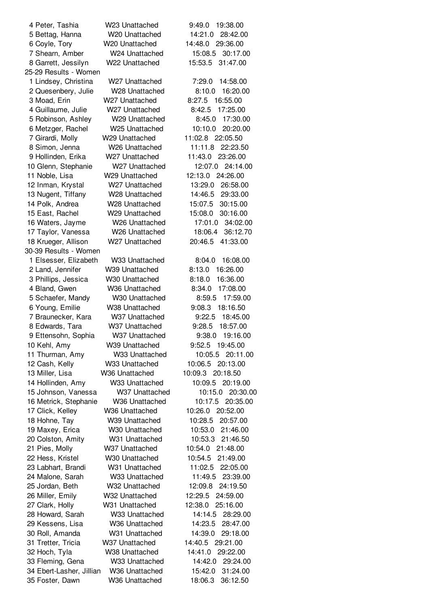| 4 Peter, Tashia          | W23 Unattached             | 9:49.0<br>19:38.00           |
|--------------------------|----------------------------|------------------------------|
| 5 Bettag, Hanna          | W <sub>20</sub> Unattached | 14:21.0<br>28:42.00          |
| 6 Coyle, Tory            | W <sub>20</sub> Unattached | 14:48.0<br>29:36.00          |
| 7 Shearn, Amber          | W24 Unattached             | 15:08.5<br>30:17.00          |
| 8 Garrett, Jessilyn      | W22 Unattached             | 15:53.5<br>31:47.00          |
| 25-29 Results - Women    |                            |                              |
| 1 Lindsey, Christina     | W <sub>27</sub> Unattached | 7:29.0<br>14:58.00           |
| 2 Quesenbery, Julie      | W28 Unattached             | 8:10.0<br>16:20.00           |
| 3 Moad, Erin             | W27 Unattached             | 8:27.5<br>16:55.00           |
| 4 Guillaume, Julie       | W27 Unattached             | 8:42.5<br>17:25.00           |
| 5 Robinson, Ashley       | W29 Unattached             | 8:45.0<br>17:30.00           |
| 6 Metzger, Rachel        | W <sub>25</sub> Unattached | 10:10.0<br>20:20.00          |
| 7 Girardi, Molly         | W29 Unattached             | 11:02.8<br>22:05.50          |
| 8 Simon, Jenna           | W <sub>26</sub> Unattached | 11:11.8<br>22:23.50          |
| 9 Hollinden, Erika       | W <sub>27</sub> Unattached | 11:43.0<br>23:26.00          |
| 10 Glenn, Stephanie      | W27 Unattached             | 12:07.0<br>24:14.00          |
| 11 Noble, Lisa           | W29 Unattached             | 12:13.0<br>24:26.00          |
| 12 Inman, Krystal        | W27 Unattached             | 13:29.0<br>26:58.00          |
| 13 Nugent, Tiffany       | W <sub>28</sub> Unattached | 14:46.5<br>29:33.00          |
| 14 Polk, Andrea          | W <sub>28</sub> Unattached | 30:15.00<br>15:07.5          |
| 15 East, Rachel          | W29 Unattached             | 15:08.0<br>30:16.00          |
| 16 Waters, Jayme         | W <sub>26</sub> Unattached | 17:01.0<br>34:02.00          |
| 17 Taylor, Vanessa       | W <sub>26</sub> Unattached | 18:06.4<br>36:12.70          |
| 18 Krueger, Allison      | W27 Unattached             | 20:46.5<br>41:33.00          |
| 30-39 Results - Women    |                            |                              |
|                          | W33 Unattached             | 8:04.0                       |
| 1 Elsesser, Elizabeth    |                            | 16:08.00<br>8:13.0           |
| 2 Land, Jennifer         | W39 Unattached             | 16:26.00                     |
| 3 Phillips, Jessica      | W <sub>30</sub> Unattached | 8:18.0<br>16:36.00<br>8:34.0 |
| 4 Bland, Gwen            | W36 Unattached             | 17:08.00                     |
| 5 Schaefer, Mandy        | W <sub>30</sub> Unattached | 17:59.00<br>8:59.5           |
| 6 Young, Emilie          | W38 Unattached             | 9:08.3<br>18:16.50           |
| 7 Braunecker, Kara       | W37 Unattached             | 9:22.5<br>18:45.00           |
| 8 Edwards, Tara          | W37 Unattached             | 18:57.00<br>9:28.5           |
| 9 Ettensohn, Sophia      | W37 Unattached             | 19:16.00<br>9:38.0           |
| 10 Kehl, Amy             | W39 Unattached             | 9:52.5<br>19:45.00           |
| 11 Thurman, Amy          | W33 Unattached             | 10:05.5 20:11.00             |
| 12 Cash, Kelly           | W33 Unattached             | 20:13.00<br>10:06.5          |
| 13 Miller, Lisa          | W36 Unattached             | 10:09.3<br>20:18.50          |
| 14 Hollinden, Amy        | W33 Unattached             | 10:09.5<br>20:19.00          |
| 15 Johnson, Vanessa      | W37 Unattached             | 10:15.0<br>20:30.00          |
| 16 Metrick, Stephanie    | W36 Unattached             | 10:17.5<br>20:35.00          |
| 17 Click, Kelley         | W36 Unattached             | 10:26.0<br>20:52.00          |
| 18 Hohne, Tay            | W39 Unattached             | 10:28.5<br>20:57.00          |
| 19 Maxey, Erica          | W30 Unattached             | 10:53.0<br>21:46.00          |
| 20 Colston, Amity        | W31 Unattached             | 10:53.3<br>21:46.50          |
| 21 Pies, Molly           | W37 Unattached             | 10:54.0<br>21:48.00          |
| 22 Hess, Kristel         | W30 Unattached             | 10:54.5<br>21:49.00          |
| 23 Labhart, Brandi       | W31 Unattached             | 11:02.5<br>22:05.00          |
| 24 Malone, Sarah         | W33 Unattached             | 11:49.5<br>23:39.00          |
| 25 Jordan, Beth          | W32 Unattached             | 12:09.8<br>24:19.50          |
| 26 Miller, Emily         | W32 Unattached             | 12:29.5<br>24:59.00          |
| 27 Clark, Holly          | W31 Unattached             | 12:38.0<br>25:16.00          |
| 28 Howard, Sarah         | W33 Unattached             | 14:14.5<br>28:29.00          |
| 29 Kessens, Lisa         | W36 Unattached             | 14:23.5<br>28:47.00          |
| 30 Roll, Amanda          | W31 Unattached             | 14:39.0<br>29:18.00          |
| 31 Tretter, Tricia       | W37 Unattached             | 29:21.00<br>14:40.5          |
| 32 Hoch, Tyla            | W38 Unattached             | 14:41.0<br>29:22.00          |
| 33 Fleming, Gena         | W33 Unattached             | 14:42.0<br>29:24.00          |
| 34 Ebert-Lasher, Jillian | W36 Unattached             | 15:42.0<br>31:24.00          |
| 35 Foster, Dawn          | W36 Unattached             | 36:12.50<br>18:06.3          |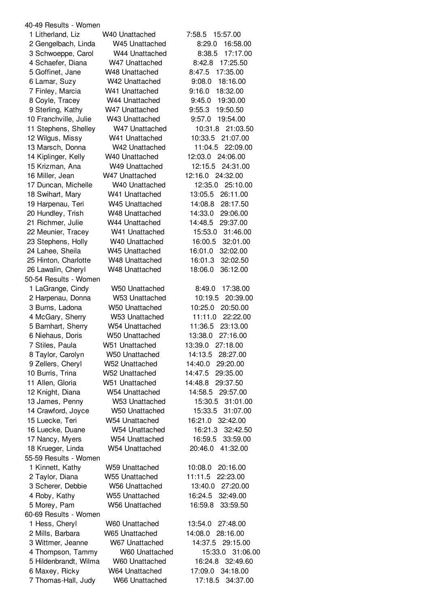| 40-49 Results - Women |                            |                     |
|-----------------------|----------------------------|---------------------|
| 1 Litherland, Liz     | W <sub>40</sub> Unattached | 7:58.5<br>15:57.00  |
| 2 Gengelbach, Linda   | W45 Unattached             | 16:58.00<br>8:29.0  |
| 3 Schwoeppe, Carol    | W44 Unattached             | 17:17.00<br>8:38.5  |
| 4 Schaefer, Diana     | W47 Unattached             | 17:25.50<br>8:42.8  |
| 5 Goffinet, Jane      | W48 Unattached             | 8:47.5<br>17:35.00  |
| 6 Lamar, Suzy         | W42 Unattached             | 18:16.00<br>9:08.0  |
| 7 Finley, Marcia      | W41 Unattached             | 9:16.0<br>18:32.00  |
| 8 Coyle, Tracey       | W44 Unattached             | 19:30.00<br>9:45.0  |
| 9 Sterling, Kathy     | W47 Unattached             | 9:55.3<br>19:50.50  |
| 10 Franchville, Julie | W43 Unattached             | 9:57.0<br>19:54.00  |
| 11 Stephens, Shelley  | W47 Unattached             | 10:31.8<br>21:03.50 |
| 12 Wilgus, Missy      | W41 Unattached             | 10:33.5<br>21:07.00 |
| 13 Marsch, Donna      | W42 Unattached             | 11:04.5<br>22:09.00 |
| 14 Kiplinger, Kelly   | W40 Unattached             | 24:06.00<br>12:03.0 |
| 15 Krizman, Ana       | W49 Unattached             | 12:15.5<br>24:31.00 |
| 16 Miller, Jean       | W47 Unattached             | 12:16.0<br>24:32.00 |
|                       | W40 Unattached             | 12:35.0<br>25:10.00 |
| 17 Duncan, Michelle   |                            |                     |
| 18 Swihart, Mary      | W41 Unattached             | 26:11.00<br>13:05.5 |
| 19 Harpenau, Teri     | W45 Unattached             | 14:08.8<br>28:17.50 |
| 20 Hundley, Trish     | W48 Unattached             | 14:33.0<br>29:06.00 |
| 21 Richmer, Julie     | W44 Unattached             | 14:48.5<br>29:37.00 |
| 22 Meunier, Tracey    | W41 Unattached             | 15:53.0<br>31:46.00 |
| 23 Stephens, Holly    | W <sub>40</sub> Unattached | 16:00.5<br>32:01.00 |
| 24 Lahee, Sheila      | W45 Unattached             | 16:01.0<br>32:02.00 |
| 25 Hinton, Charlotte  | W48 Unattached             | 16:01.3<br>32:02.50 |
| 26 Lawalin, Cheryl    | W48 Unattached             | 18:06.0<br>36:12.00 |
| 50-54 Results - Women |                            |                     |
| 1 LaGrange, Cindy     | W50 Unattached             | 17:38.00<br>8:49.0  |
| 2 Harpenau, Donna     | W53 Unattached             | 10:19.5<br>20:39.00 |
| 3 Burns, Ladona       | <b>W50 Unattached</b>      | 10:25.0<br>20:50.00 |
| 4 McGary, Sherry      | <b>W53 Unattached</b>      | 11:11.0<br>22:22.00 |
| 5 Barnhart, Sherry    | W54 Unattached             | 11:36.5<br>23:13.00 |
| 6 Niehaus, Doris      | W50 Unattached             | 27:16.00<br>13:38.0 |
| 7 Stiles, Paula       | W51 Unattached             | 13:39.0<br>27:18.00 |
| 8 Taylor, Carolyn     | <b>W50 Unattached</b>      | 14:13.5<br>28:27.00 |
| 9 Zellers, Cheryl     | W52 Unattached             | 14:40.0<br>29:20.00 |
| 10 Burris, Trina      | W52 Unattached             | 14:47.5<br>29:35.00 |
| 11 Allen, Gloria      | W51 Unattached             | 14:48.8<br>29:37.50 |
| 12 Knight, Diana      | W54 Unattached             | 14:58.5<br>29:57.00 |
| 13 James, Penny       | W53 Unattached             | 15:30.5<br>31:01.00 |
| 14 Crawford, Joyce    | W50 Unattached             | 15:33.5<br>31:07.00 |
| 15 Luecke, Teri       | W54 Unattached             | 16:21.0<br>32:42.00 |
| 16 Luecke, Duane      | W54 Unattached             | 16:21.3<br>32:42.50 |
| 17 Nancy, Myers       | W54 Unattached             | 16:59.5<br>33:59.00 |
| 18 Krueger, Linda     | W54 Unattached             | 41:32.00<br>20:46.0 |
| 55-59 Results - Women |                            |                     |
| 1 Kinnett, Kathy      | W59 Unattached             | 10:08.0<br>20:16.00 |
| 2 Taylor, Diana       | W55 Unattached             | 11:11.5<br>22:23.00 |
| 3 Scherer, Debbie     | W56 Unattached             | 13:40.0<br>27:20.00 |
| 4 Roby, Kathy         | <b>W55 Unattached</b>      | 16:24.5<br>32:49.00 |
| 5 Morey, Pam          | <b>W56 Unattached</b>      | 33:59.50<br>16:59.8 |
| 60-69 Results - Women |                            |                     |
|                       |                            |                     |
| 1 Hess, Cheryl        | W60 Unattached             | 27:48.00<br>13:54.0 |
| 2 Mills, Barbara      | W65 Unattached             | 14:08.0<br>28:16.00 |
| 3 Wittmer, Jeanne     | W67 Unattached             | 14:37.5<br>29:15.00 |
| 4 Thompson, Tammy     | W60 Unattached             | 15:33.0<br>31:06.00 |
| 5 Hildenbrandt, Wilma | W60 Unattached             | 16:24.8<br>32:49.60 |
| 6 Maxey, Ricky        | W64 Unattached             | 34:18.00<br>17:09.0 |
| 7 Thomas-Hall, Judy   | W66 Unattached             | 17:18.5<br>34:37.00 |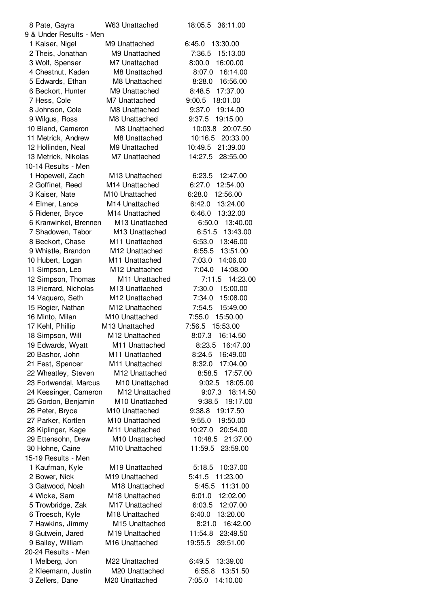| 8 Pate, Gayra           | W63 Unattached             | 18:05.5<br>36:11.00 |
|-------------------------|----------------------------|---------------------|
| 9 & Under Results - Men |                            |                     |
| 1 Kaiser, Nigel         | M9 Unattached              | 6:45.0<br>13:30.00  |
| 2 Theis, Jonathan       | M9 Unattached              | 7:36.5<br>15:13.00  |
| 3 Wolf, Spenser         | M7 Unattached              | 8:00.0<br>16:00.00  |
| 4 Chestnut, Kaden       | M8 Unattached              | 8:07.0<br>16:14.00  |
| 5 Edwards, Ethan        | M8 Unattached              | 8:28.0<br>16:56.00  |
| 6 Beckort, Hunter       | M9 Unattached              | 17:37.00<br>8:48.5  |
| 7 Hess, Cole            | M7 Unattached              | 9:00.5<br>18:01.00  |
| 8 Johnson, Cole         | M8 Unattached              | 9:37.0<br>19:14.00  |
| 9 Wilgus, Ross          | M8 Unattached              | 9:37.5<br>19:15.00  |
| 10 Bland, Cameron       | M8 Unattached              | 10:03.8<br>20:07.50 |
| 11 Metrick, Andrew      | M8 Unattached              | 10:16.5<br>20:33.00 |
| 12 Hollinden, Neal      | M9 Unattached              | 10:49.5<br>21:39.00 |
| 13 Metrick, Nikolas     | M7 Unattached              | 14:27.5<br>28:55.00 |
| 10-14 Results - Men     |                            |                     |
| 1 Hopewell, Zach        | M <sub>13</sub> Unattached | 6:23.5<br>12:47.00  |
| 2 Goffinet, Reed        | M14 Unattached             | 6:27.0<br>12:54.00  |
| 3 Kaiser, Nate          | M <sub>10</sub> Unattached | 12:56.00<br>6:28.0  |
| 4 Elmer, Lance          | M14 Unattached             | 6:42.0<br>13:24.00  |
| 5 Ridener, Bryce        | M14 Unattached             | 13:32.00<br>6:46.0  |
| 6 Kranwinkel, Brennen   | M13 Unattached             | 6:50.0<br>13:40.00  |
| 7 Shadowen, Tabor       | M13 Unattached             | 6:51.5<br>13:43.00  |
| 8 Beckort, Chase        | M11 Unattached             | 6:53.0<br>13:46.00  |
| 9 Whistle, Brandon      | M12 Unattached             | 6:55.5<br>13:51.00  |
| 10 Hubert, Logan        | M11 Unattached             | 7:03.0<br>14:06.00  |
| 11 Simpson, Leo         | M12 Unattached             | 7:04.0 14:08.00     |
| 12 Simpson, Thomas      | M11 Unattached             | 7:11.5<br>14:23.00  |
| 13 Pierrard, Nicholas   | M13 Unattached             | 7:30.0<br>15:00.00  |
| 14 Vaquero, Seth        | M12 Unattached             | 7:34.0<br>15:08.00  |
| 15 Rogier, Nathan       | M12 Unattached             | 7:54.5<br>15:49.00  |
| 16 Minto, Milan         | M10 Unattached             | 7:55.0<br>15:50.00  |
| 17 Kehl, Phillip        | M13 Unattached             | 7:56.5<br>15:53.00  |
| 18 Simpson, Will        | M12 Unattached             | 8:07.3 16:14.50     |
| 19 Edwards, Wyatt       | M11 Unattached             | 8:23.5<br>16:47.00  |
| 20 Bashor, John         | M11 Unattached             | 8:24.5<br>16:49.00  |
| 21 Fest, Spencer        | M11 Unattached             | 8:32.0<br>17:04.00  |
| 22 Wheatley, Steven     | M12 Unattached             | 8:58.5<br>17:57.00  |
| 23 Fortwendal, Marcus   | M <sub>10</sub> Unattached | 9:02.5<br>18:05.00  |
| 24 Kessinger, Cameron   | M12 Unattached             | 9:07.3<br>18:14.50  |
| 25 Gordon, Benjamin     | M10 Unattached             | 9:38.5<br>19:17.00  |
| 26 Peter, Bryce         | M10 Unattached             | 9:38.8<br>19:17.50  |
| 27 Parker, Kortlen      | M10 Unattached             | 19:50.00<br>9:55.0  |
| 28 Kiplinger, Kage      | M11 Unattached             | 10:27.0 20:54.00    |
| 29 Ettensohn, Drew      | M10 Unattached             | 10:48.5<br>21:37.00 |
| 30 Hohne, Caine         | M10 Unattached             | 11:59.5<br>23:59.00 |
| 15-19 Results - Men     |                            |                     |
| 1 Kaufman, Kyle         | M19 Unattached             | 5:18.5<br>10:37.00  |
| 2 Bower, Nick           | M <sub>19</sub> Unattached | 5:41.5<br>11:23.00  |
| 3 Gatwood, Noah         | M <sub>18</sub> Unattached | 5:45.5<br>11:31.00  |
| 4 Wicke, Sam            | M18 Unattached             | 6:01.0<br>12:02.00  |
| 5 Trowbridge, Zak       | M17 Unattached             | 6:03.5<br>12:07.00  |
| 6 Troesch, Kyle         | M18 Unattached             | 6:40.0<br>13:20.00  |
| 7 Hawkins, Jimmy        | M15 Unattached             | 8:21.0<br>16:42.00  |
| 8 Gutwein, Jared        | M19 Unattached             | 11:54.8 23:49.50    |
| 9 Bailey, William       | M16 Unattached             | 19:55.5<br>39:51.00 |
| 20-24 Results - Men     |                            |                     |
| 1 Melberg, Jon          | M22 Unattached             | 13:39.00<br>6:49.5  |
| 2 Kleemann, Justin      | M20 Unattached             | 6:55.8<br>13:51.50  |
| 3 Zellers, Dane         | M20 Unattached             | 7:05.0<br>14:10.00  |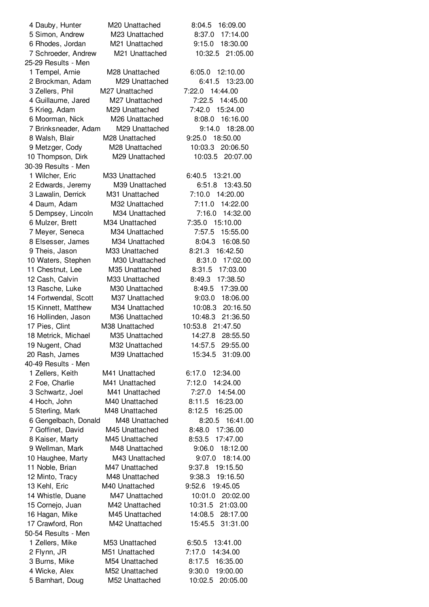| 4 Dauby, Hunter      | M <sub>20</sub> Unattached | 8:04.5<br>16:09.00  |
|----------------------|----------------------------|---------------------|
| 5 Simon, Andrew      | M23 Unattached             | 17:14.00<br>8:37.0  |
| 6 Rhodes, Jordan     | M21 Unattached             | 18:30.00<br>9:15.0  |
| 7 Schroeder, Andrew  | M21 Unattached             | 21:05.00<br>10:32.5 |
| 25-29 Results - Men  |                            |                     |
| 1 Tempel, Arnie      | M28 Unattached             | 12:10.00<br>6:05.0  |
| 2 Brockman, Adam     | M29 Unattached             | 13:23.00<br>6:41.5  |
|                      | M27 Unattached             | 7:22.0<br>14:44.00  |
| 3 Zellers, Phil      |                            |                     |
| 4 Guillaume, Jared   | M27 Unattached             | 7:22.5<br>14:45.00  |
| 5 Krieg, Adam        | M29 Unattached             | 15:24.00<br>7:42.0  |
| 6 Moorman, Nick      | M26 Unattached             | 8:08.0<br>16:16.00  |
| 7 Brinksneader, Adam | M29 Unattached             | 9:14.0<br>18:28.00  |
| 8 Walsh, Blair       | M28 Unattached             | 9:25.0<br>18:50.00  |
| 9 Metzger, Cody      | M28 Unattached             | 20:06.50<br>10:03.3 |
| 10 Thompson, Dirk    | M29 Unattached             | 10:03.5 20:07.00    |
| 30-39 Results - Men  |                            |                     |
| 1 Wilcher, Eric      | M33 Unattached             | 6:40.5 13:21.00     |
| 2 Edwards, Jeremy    | M39 Unattached             | 6:51.8<br>13:43.50  |
| 3 Lawalin, Derrick   | M31 Unattached             | 7:10.0<br>14:20.00  |
| 4 Daum, Adam         | M32 Unattached             | 14:22.00<br>7:11.0  |
| 5 Dempsey, Lincoln   | M34 Unattached             | 7:16.0<br>14:32.00  |
| 6 Mulzer, Brett      | M34 Unattached             | 15:10.00<br>7:35.0  |
|                      | M34 Unattached             | 7:57.5<br>15:55.00  |
| 7 Meyer, Seneca      |                            |                     |
| 8 Elsesser, James    | M34 Unattached             | 8:04.3<br>16:08.50  |
| 9 Theis, Jason       | M33 Unattached             | 8:21.3<br>16:42.50  |
| 10 Waters, Stephen   | M30 Unattached             | 8:31.0<br>17:02.00  |
| 11 Chestnut, Lee     | M35 Unattached             | 8:31.5<br>17:03.00  |
| 12 Cash, Calvin      | M33 Unattached             | 8:49.3<br>17:38.50  |
| 13 Rasche, Luke      | M30 Unattached             | 17:39.00<br>8:49.5  |
| 14 Fortwendal, Scott | M37 Unattached             | 18:06.00<br>9:03.0  |
| 15 Kinnett, Matthew  | M34 Unattached             | 10:08.3<br>20:16.50 |
| 16 Hollinden, Jason  | M36 Unattached             | 21:36.50<br>10:48.3 |
| 17 Pies, Clint       | M38 Unattached             | 10:53.8 21:47.50    |
| 18 Metrick, Michael  | M35 Unattached             | 14:27.8<br>28:55.50 |
| 19 Nugent, Chad      | M32 Unattached             | 14:57.5<br>29:55.00 |
| 20 Rash, James       | M39 Unattached             | 15:34.5<br>31:09.00 |
| 40-49 Results - Men  |                            |                     |
| 1 Zellers, Keith     | M41 Unattached             | 12:34.00<br>6:17.0  |
| 2 Foe, Charlie       | M41 Unattached             | 14:24.00<br>7:12.0  |
| 3 Schwartz, Joel     | M41 Unattached             | 7:27.0<br>14:54.00  |
|                      |                            |                     |
| 4 Hoch, John         | M40 Unattached             | 8:11.5<br>16:23.00  |
| 5 Sterling, Mark     | M48 Unattached             | 8:12.5<br>16:25.00  |
| 6 Gengelbach, Donald | M48 Unattached             | 8:20.5 16:41.00     |
| 7 Goffinet, David    | M45 Unattached             | 17:36.00<br>8:48.0  |
| 8 Kaiser, Marty      | M45 Unattached             | 8:53.5<br>17:47.00  |
| 9 Wellman, Mark      | M48 Unattached             | 9:06.0<br>18:12.00  |
| 10 Haughee, Marty    | M43 Unattached             | 9:07.0<br>18:14.00  |
| 11 Noble, Brian      | M47 Unattached             | 9:37.8<br>19:15.50  |
| 12 Minto, Tracy      | M48 Unattached             | 9:38.3<br>19:16.50  |
| 13 Kehl, Eric        | M40 Unattached             | 9:52.6<br>19:45.05  |
| 14 Whistle, Duane    | M47 Unattached             | 10:01.0<br>20:02.00 |
| 15 Cornejo, Juan     | M42 Unattached             | 10:31.5<br>21:03.00 |
| 16 Hagan, Mike       | M45 Unattached             | 28:17.00<br>14:08.5 |
| 17 Crawford, Ron     | M42 Unattached             | 31:31.00<br>15:45.5 |
| 50-54 Results - Men  |                            |                     |
|                      |                            |                     |
| 1 Zellers, Mike      | M53 Unattached             | 13:41.00<br>6:50.5  |
| 2 Flynn, JR          | M51 Unattached             | 7:17.0<br>14:34.00  |
| 3 Burns, Mike        | M54 Unattached             | 16:35.00<br>8:17.5  |
| 4 Wicke, Alex        | M52 Unattached             | 9:30.0<br>19:00.00  |
| 5 Barnhart, Doug     | M52 Unattached             | 10:02.5 20:05.00    |